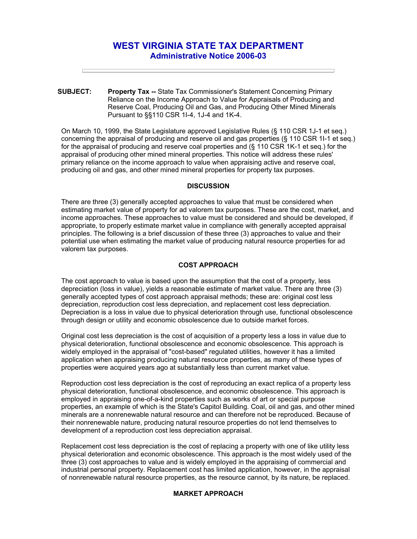# **WEST VIRGINIA STATE TAX DEPARTMENT Administrative Notice 2006-03**

**SUBJECT: Property Tax --** State Tax Commissioner's Statement Concerning Primary Reliance on the Income Approach to Value for Appraisals of Producing and Reserve Coal, Producing Oil and Gas, and Producing Other Mined Minerals Pursuant to §§110 CSR 1I-4, 1J-4 and 1K-4.

On March 10, 1999, the State Legislature approved Legislative Rules (§ 110 CSR 1J-1 et seq.) concerning the appraisal of producing and reserve oil and gas properties (§ 110 CSR 1I-1 et seq.) for the appraisal of producing and reserve coal properties and (§ 110 CSR 1K-1 et seq.) for the appraisal of producing other mined mineral properties. This notice will address these rules' primary reliance on the income approach to value when appraising active and reserve coal, producing oil and gas, and other mined mineral properties for property tax purposes.

## **DISCUSSION**

There are three (3) generally accepted approaches to value that must be considered when estimating market value of property for ad valorem tax purposes. These are the cost, market, and income approaches. These approaches to value must be considered and should be developed, if appropriate, to properly estimate market value in compliance with generally accepted appraisal principles. The following is a brief discussion of these three (3) approaches to value and their potential use when estimating the market value of producing natural resource properties for ad valorem tax purposes.

### **COST APPROACH**

The cost approach to value is based upon the assumption that the cost of a property, less depreciation (loss in value), yields a reasonable estimate of market value. There are three (3) generally accepted types of cost approach appraisal methods; these are: original cost less depreciation, reproduction cost less depreciation, and replacement cost less depreciation. Depreciation is a loss in value due to physical deterioration through use, functional obsolescence through design or utility and economic obsolescence due to outside market forces.

Original cost less depreciation is the cost of acquisition of a property less a loss in value due to physical deterioration, functional obsolescence and economic obsolescence. This approach is widely employed in the appraisal of "cost-based" regulated utilities, however it has a limited application when appraising producing natural resource properties, as many of these types of properties were acquired years ago at substantially less than current market value.

Reproduction cost less depreciation is the cost of reproducing an exact replica of a property less physical deterioration, functional obsolescence, and economic obsolescence. This approach is employed in appraising one-of-a-kind properties such as works of art or special purpose properties, an example of which is the State's Capitol Building. Coal, oil and gas, and other mined minerals are a nonrenewable natural resource and can therefore not be reproduced. Because of their nonrenewable nature, producing natural resource properties do not lend themselves to development of a reproduction cost less depreciation appraisal.

Replacement cost less depreciation is the cost of replacing a property with one of like utility less physical deterioration and economic obsolescence. This approach is the most widely used of the three (3) cost approaches to value and is widely employed in the appraising of commercial and industrial personal property. Replacement cost has limited application, however, in the appraisal of nonrenewable natural resource properties, as the resource cannot, by its nature, be replaced.

# **MARKET APPROACH**